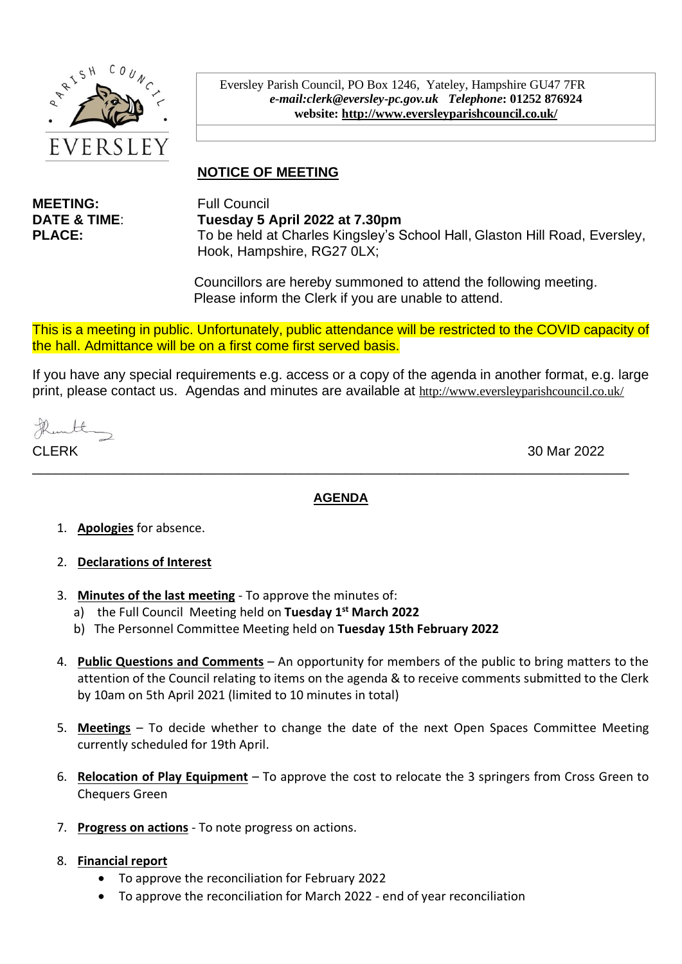

Eversley Parish Council, PO Box 1246, Yateley, Hampshire GU47 7FR *e-mail:clerk@eversley-pc.gov.uk**Telephone***: 01252 876924 website:<http://www.eversleyparishcouncil.co.uk/>**

# **NOTICE OF MEETING**

**MEETING:** Full Council

**DATE & TIME**: **Tuesday 5 April 2022 at 7.30pm PLACE:** To be held at Charles Kingsley's School Hall, Glaston Hill Road, Eversley, Hook, Hampshire, RG27 0LX;

> Councillors are hereby summoned to attend the following meeting. Please inform the Clerk if you are unable to attend.

This is a meeting in public. Unfortunately, public attendance will be restricted to the COVID capacity of the hall. Admittance will be on a first come first served basis.

If you have any special requirements e.g. access or a copy of the agenda in another format, e.g. large print, please contact us. Agendas and minutes are available at <http://www.eversleyparishcouncil.co.uk/>

thanthy

30 Mar 2022

#### **AGENDA**

\_\_\_\_\_\_\_\_\_\_\_\_\_\_\_\_\_\_\_\_\_\_\_\_\_\_\_\_\_\_\_\_\_\_\_\_\_\_\_\_\_\_\_\_\_\_\_\_\_\_\_\_\_\_\_\_\_\_\_\_\_\_\_\_\_\_\_\_\_\_\_\_\_\_\_\_\_\_

- 1. **Apologies** for absence.
- 2. **Declarations of Interest**
- 3. **Minutes of the last meeting** To approve the minutes of:
	- a) the Full Council Meeting held on **Tuesday 1 st March 2022**
	- b) The Personnel Committee Meeting held on **Tuesday 15th February 2022**
- 4. **Public Questions and Comments** An opportunity for members of the public to bring matters to the attention of the Council relating to items on the agenda & to receive comments submitted to the Clerk by 10am on 5th April 2021 (limited to 10 minutes in total)
- 5. **Meetings** To decide whether to change the date of the next Open Spaces Committee Meeting currently scheduled for 19th April.
- 6. **Relocation of Play Equipment** To approve the cost to relocate the 3 springers from Cross Green to Chequers Green
- 7. **Progress on actions** To note progress on actions.
- 8. **Financial report** 
	- To approve the reconciliation for February 2022
	- To approve the reconciliation for March 2022 end of year reconciliation